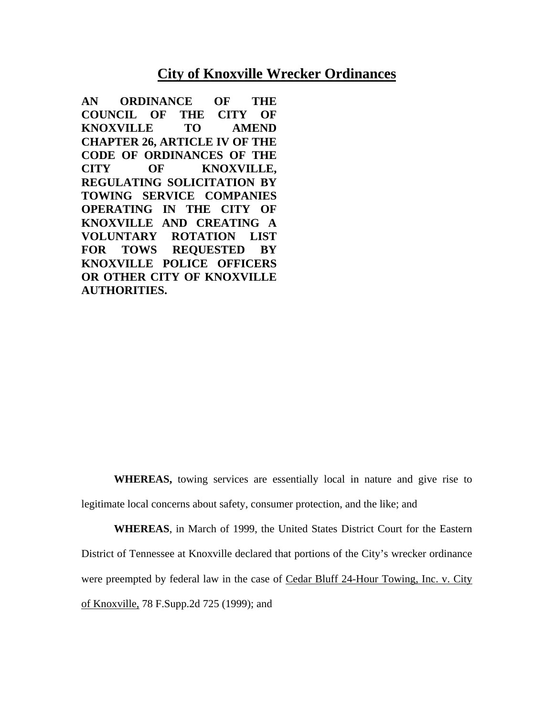# **City of Knoxville Wrecker Ordinances**

**AN ORDINANCE OF THE COUNCIL OF THE CITY OF KNOXVILLE TO AMEND CHAPTER 26, ARTICLE IV OF THE CODE OF ORDINANCES OF THE CITY OF KNOXVILLE, REGULATING SOLICITATION BY TOWING SERVICE COMPANIES OPERATING IN THE CITY OF KNOXVILLE AND CREATING A VOLUNTARY ROTATION LIST FOR TOWS REQUESTED BY KNOXVILLE POLICE OFFICERS OR OTHER CITY OF KNOXVILLE AUTHORITIES.** 

**WHEREAS,** towing services are essentially local in nature and give rise to legitimate local concerns about safety, consumer protection, and the like; and

**WHEREAS**, in March of 1999, the United States District Court for the Eastern District of Tennessee at Knoxville declared that portions of the City's wrecker ordinance were preempted by federal law in the case of Cedar Bluff 24-Hour Towing, Inc. v. City of Knoxville, 78 F.Supp.2d 725 (1999); and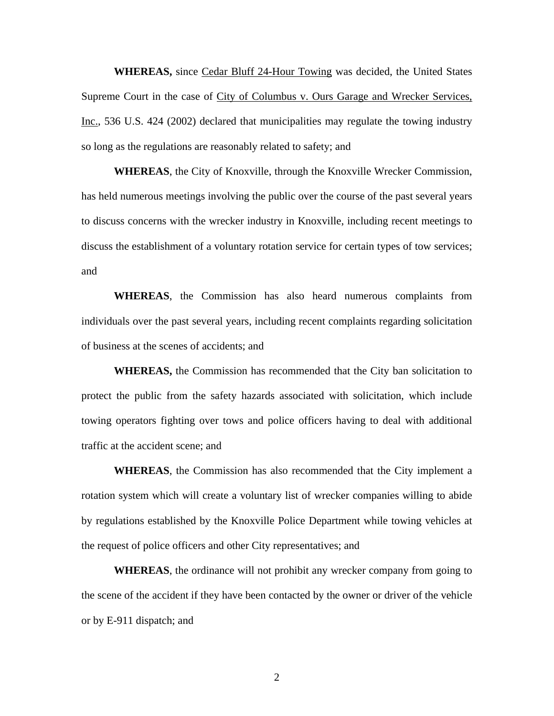**WHEREAS,** since Cedar Bluff 24-Hour Towing was decided, the United States Supreme Court in the case of City of Columbus v. Ours Garage and Wrecker Services, Inc., 536 U.S. 424 (2002) declared that municipalities may regulate the towing industry so long as the regulations are reasonably related to safety; and

**WHEREAS**, the City of Knoxville, through the Knoxville Wrecker Commission, has held numerous meetings involving the public over the course of the past several years to discuss concerns with the wrecker industry in Knoxville, including recent meetings to discuss the establishment of a voluntary rotation service for certain types of tow services; and

**WHEREAS**, the Commission has also heard numerous complaints from individuals over the past several years, including recent complaints regarding solicitation of business at the scenes of accidents; and

**WHEREAS,** the Commission has recommended that the City ban solicitation to protect the public from the safety hazards associated with solicitation, which include towing operators fighting over tows and police officers having to deal with additional traffic at the accident scene; and

**WHEREAS**, the Commission has also recommended that the City implement a rotation system which will create a voluntary list of wrecker companies willing to abide by regulations established by the Knoxville Police Department while towing vehicles at the request of police officers and other City representatives; and

**WHEREAS**, the ordinance will not prohibit any wrecker company from going to the scene of the accident if they have been contacted by the owner or driver of the vehicle or by E-911 dispatch; and

2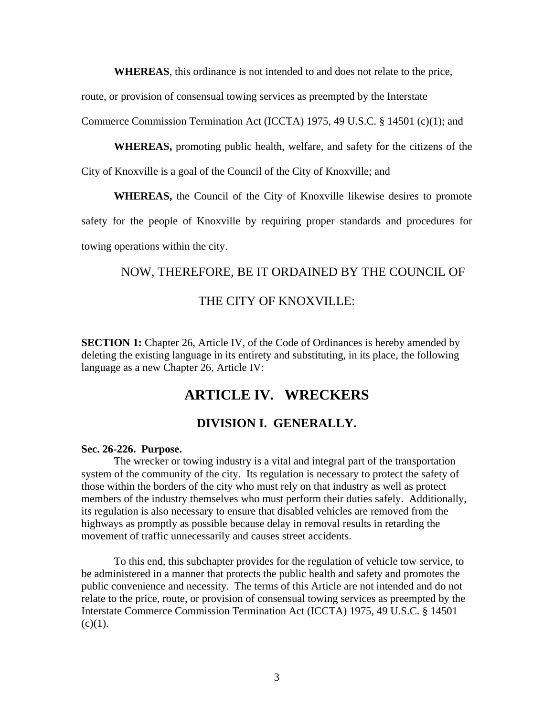**WHEREAS**, this ordinance is not intended to and does not relate to the price,

route, or provision of consensual towing services as preempted by the Interstate

Commerce Commission Termination Act (ICCTA) 1975, 49 U.S.C. § 14501 (c)(1); and

**WHEREAS,** promoting public health, welfare, and safety for the citizens of the

City of Knoxville is a goal of the Council of the City of Knoxville; and

**WHEREAS,** the Council of the City of Knoxville likewise desires to promote

safety for the people of Knoxville by requiring proper standards and procedures for towing operations within the city.

# NOW, THEREFORE, BE IT ORDAINED BY THE COUNCIL OF

# THE CITY OF KNOXVILLE:

**SECTION 1:** Chapter 26, Article IV, of the Code of Ordinances is hereby amended by deleting the existing language in its entirety and substituting, in its place, the following language as a new Chapter 26, Article IV:

# **ARTICLE IV. WRECKERS**

# **DIVISION I. GENERALLY.**

#### **Sec. 26-226. Purpose.**

 The wrecker or towing industry is a vital and integral part of the transportation system of the community of the city. Its regulation is necessary to protect the safety of those within the borders of the city who must rely on that industry as well as protect members of the industry themselves who must perform their duties safely. Additionally, its regulation is also necessary to ensure that disabled vehicles are removed from the highways as promptly as possible because delay in removal results in retarding the movement of traffic unnecessarily and causes street accidents.

To this end, this subchapter provides for the regulation of vehicle tow service, to be administered in a manner that protects the public health and safety and promotes the public convenience and necessity. The terms of this Article are not intended and do not relate to the price, route, or provision of consensual towing services as preempted by the Interstate Commerce Commission Termination Act (ICCTA) 1975, 49 U.S.C. § 14501  $(c)(1)$ .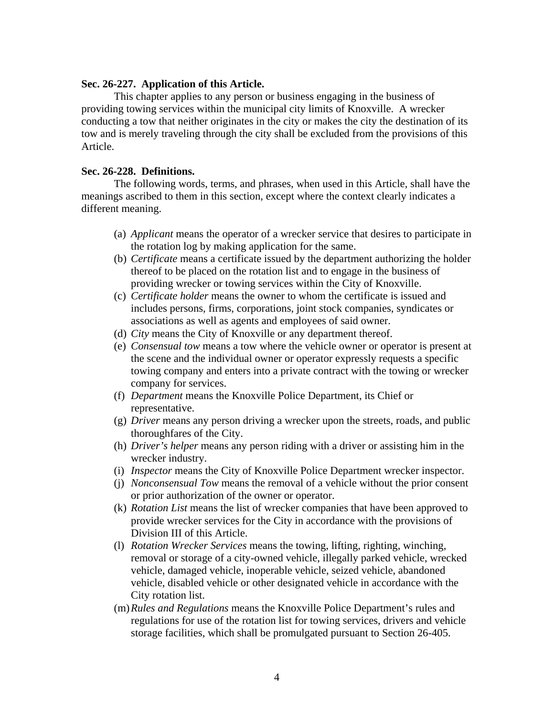#### **Sec. 26-227. Application of this Article.**

 This chapter applies to any person or business engaging in the business of providing towing services within the municipal city limits of Knoxville. A wrecker conducting a tow that neither originates in the city or makes the city the destination of its tow and is merely traveling through the city shall be excluded from the provisions of this Article.

## **Sec. 26-228. Definitions.**

 The following words, terms, and phrases, when used in this Article, shall have the meanings ascribed to them in this section, except where the context clearly indicates a different meaning.

- (a) *Applicant* means the operator of a wrecker service that desires to participate in the rotation log by making application for the same.
- (b) *Certificate* means a certificate issued by the department authorizing the holder thereof to be placed on the rotation list and to engage in the business of providing wrecker or towing services within the City of Knoxville.
- (c) *Certificate holder* means the owner to whom the certificate is issued and includes persons, firms, corporations, joint stock companies, syndicates or associations as well as agents and employees of said owner.
- (d) *City* means the City of Knoxville or any department thereof.
- (e) *Consensual tow* means a tow where the vehicle owner or operator is present at the scene and the individual owner or operator expressly requests a specific towing company and enters into a private contract with the towing or wrecker company for services.
- (f) *Department* means the Knoxville Police Department, its Chief or representative.
- (g) *Driver* means any person driving a wrecker upon the streets, roads, and public thoroughfares of the City.
- (h) *Driver's helper* means any person riding with a driver or assisting him in the wrecker industry.
- (i) *Inspector* means the City of Knoxville Police Department wrecker inspector.
- (j) *Nonconsensual Tow* means the removal of a vehicle without the prior consent or prior authorization of the owner or operator.
- (k) *Rotation List* means the list of wrecker companies that have been approved to provide wrecker services for the City in accordance with the provisions of Division III of this Article.
- (l) *Rotation Wrecker Services* means the towing, lifting, righting, winching, removal or storage of a city-owned vehicle, illegally parked vehicle, wrecked vehicle, damaged vehicle, inoperable vehicle, seized vehicle, abandoned vehicle, disabled vehicle or other designated vehicle in accordance with the City rotation list.
- (m)*Rules and Regulations* means the Knoxville Police Department's rules and regulations for use of the rotation list for towing services, drivers and vehicle storage facilities, which shall be promulgated pursuant to Section 26-405.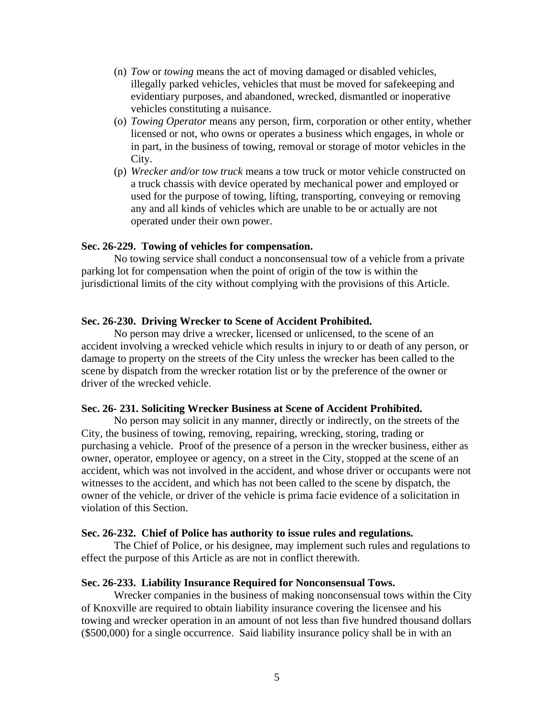- (n) *Tow* or *towing* means the act of moving damaged or disabled vehicles, illegally parked vehicles, vehicles that must be moved for safekeeping and evidentiary purposes, and abandoned, wrecked, dismantled or inoperative vehicles constituting a nuisance.
- (o) *Towing Operator* means any person, firm, corporation or other entity, whether licensed or not, who owns or operates a business which engages, in whole or in part, in the business of towing, removal or storage of motor vehicles in the City.
- (p) *Wrecker and/or tow truck* means a tow truck or motor vehicle constructed on a truck chassis with device operated by mechanical power and employed or used for the purpose of towing, lifting, transporting, conveying or removing any and all kinds of vehicles which are unable to be or actually are not operated under their own power.

#### **Sec. 26-229. Towing of vehicles for compensation.**

 No towing service shall conduct a nonconsensual tow of a vehicle from a private parking lot for compensation when the point of origin of the tow is within the jurisdictional limits of the city without complying with the provisions of this Article.

#### **Sec. 26-230. Driving Wrecker to Scene of Accident Prohibited.**

 No person may drive a wrecker, licensed or unlicensed, to the scene of an accident involving a wrecked vehicle which results in injury to or death of any person, or damage to property on the streets of the City unless the wrecker has been called to the scene by dispatch from the wrecker rotation list or by the preference of the owner or driver of the wrecked vehicle.

#### **Sec. 26- 231. Soliciting Wrecker Business at Scene of Accident Prohibited.**

 No person may solicit in any manner, directly or indirectly, on the streets of the City, the business of towing, removing, repairing, wrecking, storing, trading or purchasing a vehicle. Proof of the presence of a person in the wrecker business, either as owner, operator, employee or agency, on a street in the City, stopped at the scene of an accident, which was not involved in the accident, and whose driver or occupants were not witnesses to the accident, and which has not been called to the scene by dispatch, the owner of the vehicle, or driver of the vehicle is prima facie evidence of a solicitation in violation of this Section.

#### **Sec. 26-232. Chief of Police has authority to issue rules and regulations.**

 The Chief of Police, or his designee, may implement such rules and regulations to effect the purpose of this Article as are not in conflict therewith.

#### **Sec. 26-233. Liability Insurance Required for Nonconsensual Tows.**

 Wrecker companies in the business of making nonconsensual tows within the City of Knoxville are required to obtain liability insurance covering the licensee and his towing and wrecker operation in an amount of not less than five hundred thousand dollars (\$500,000) for a single occurrence. Said liability insurance policy shall be in with an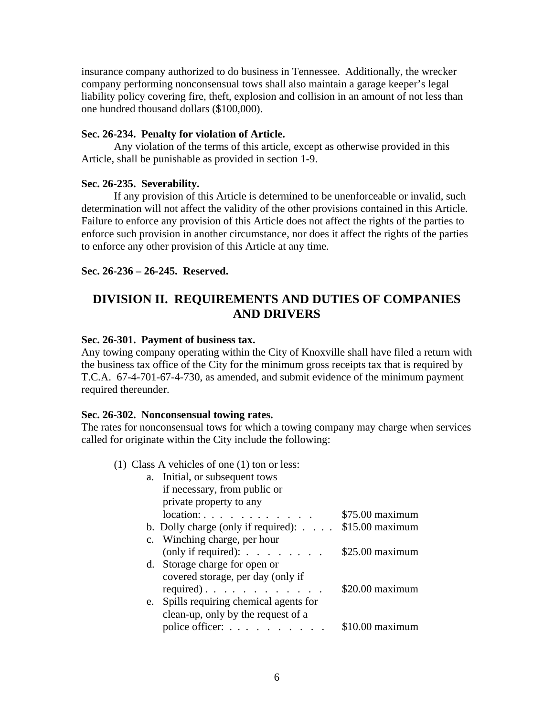insurance company authorized to do business in Tennessee. Additionally, the wrecker company performing nonconsensual tows shall also maintain a garage keeper's legal liability policy covering fire, theft, explosion and collision in an amount of not less than one hundred thousand dollars (\$100,000).

## **Sec. 26-234. Penalty for violation of Article.**

 Any violation of the terms of this article, except as otherwise provided in this Article, shall be punishable as provided in section 1-9.

## **Sec. 26-235. Severability.**

 If any provision of this Article is determined to be unenforceable or invalid, such determination will not affect the validity of the other provisions contained in this Article. Failure to enforce any provision of this Article does not affect the rights of the parties to enforce such provision in another circumstance, nor does it affect the rights of the parties to enforce any other provision of this Article at any time.

**Sec. 26-236 – 26-245. Reserved.**

# **DIVISION II. REQUIREMENTS AND DUTIES OF COMPANIES AND DRIVERS**

## **Sec. 26-301. Payment of business tax.**

Any towing company operating within the City of Knoxville shall have filed a return with the business tax office of the City for the minimum gross receipts tax that is required by T.C.A. 67-4-701-67-4-730, as amended, and submit evidence of the minimum payment required thereunder.

#### **Sec. 26-302. Nonconsensual towing rates.**

The rates for nonconsensual tows for which a towing company may charge when services called for originate within the City include the following:

## (1) Class A vehicles of one (1) ton or less:

| a. Initial, or subsequent tows                      |                  |
|-----------------------------------------------------|------------------|
| if necessary, from public or                        |                  |
| private property to any                             |                  |
| $location: \ldots \ldots \ldots \ldots$             | $$75.00$ maximum |
| b. Dolly charge (only if required): \$15.00 maximum |                  |
| c. Winching charge, per hour                        |                  |
| (only if required): $\ldots$ $\ldots$ $\ldots$      | $$25.00$ maximum |
| d. Storage charge for open or                       |                  |
| covered storage, per day (only if                   |                  |
| required). $\ldots$                                 | \$20.00 maximum  |
| e. Spills requiring chemical agents for             |                  |
| clean-up, only by the request of a                  |                  |
| police officer: $\ldots$ $\ldots$ $\ldots$ $\ldots$ | \$10.00 maximum  |
|                                                     |                  |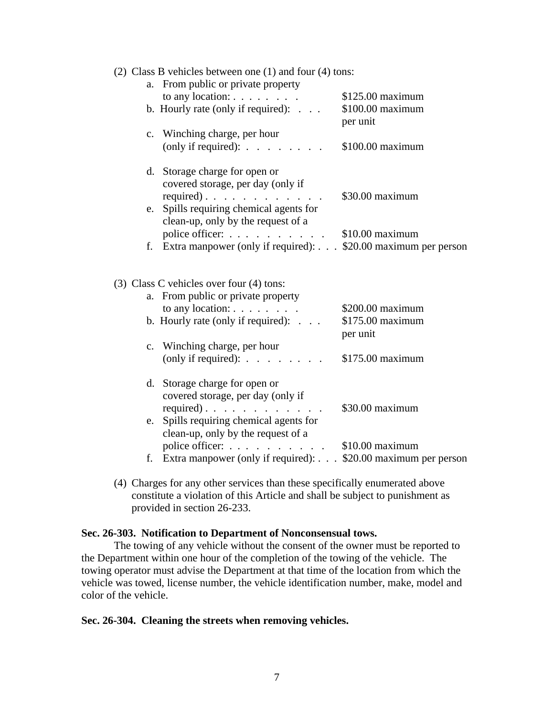|  | (2) Class B vehicles between one $(1)$ and four $(4)$ tons: |  |  |  |  |
|--|-------------------------------------------------------------|--|--|--|--|
|--|-------------------------------------------------------------|--|--|--|--|

| a. From public or private property                                        |                  |
|---------------------------------------------------------------------------|------------------|
| to any location: $\ldots$ $\ldots$ $\ldots$                               | \$125.00 maximum |
| b. Hourly rate (only if required): $\ldots$                               | \$100.00 maximum |
|                                                                           | per unit         |
| c. Winching charge, per hour                                              |                  |
| (only if required): $\ldots$ $\ldots$ $\ldots$                            | \$100.00 maximum |
|                                                                           |                  |
| d. Storage charge for open or                                             |                  |
| covered storage, per day (only if                                         |                  |
| required). $\ldots$                                                       | \$30.00 maximum  |
| e. Spills requiring chemical agents for                                   |                  |
| clean-up, only by the request of a                                        |                  |
| police officer: \$10.00 maximum                                           |                  |
| f. Extra manpower (only if required): \$20.00 maximum per person          |                  |
|                                                                           |                  |
|                                                                           |                  |
|                                                                           |                  |
|                                                                           |                  |
| $(3)$ Class C vehicles over four $(4)$ tons:                              |                  |
| a. From public or private property                                        |                  |
| to any location: $\ldots$ $\ldots$ $\ldots$                               | \$200.00 maximum |
| b. Hourly rate (only if required): $\ldots$                               | \$175.00 maximum |
|                                                                           | per unit         |
| c. Winching charge, per hour                                              |                  |
| (only if required): $\ldots$ $\ldots$ $\ldots$                            | \$175.00 maximum |
|                                                                           |                  |
| d. Storage charge for open or                                             |                  |
| covered storage, per day (only if                                         |                  |
| required).                                                                | \$30.00 maximum  |
| e. Spills requiring chemical agents for                                   |                  |
| clean-up, only by the request of a                                        |                  |
| police officer: \$10.00 maximum                                           |                  |
| f. Extra manpower (only if required): $\ldots$ \$20.00 maximum per person |                  |

(4) Charges for any other services than these specifically enumerated above constitute a violation of this Article and shall be subject to punishment as provided in section 26-233.

#### **Sec. 26-303. Notification to Department of Nonconsensual tows.**

 The towing of any vehicle without the consent of the owner must be reported to the Department within one hour of the completion of the towing of the vehicle. The towing operator must advise the Department at that time of the location from which the vehicle was towed, license number, the vehicle identification number, make, model and color of the vehicle.

#### **Sec. 26-304. Cleaning the streets when removing vehicles.**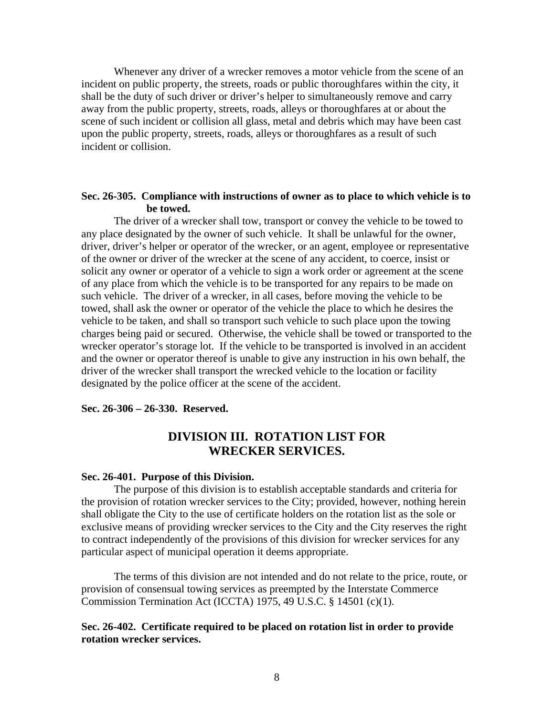Whenever any driver of a wrecker removes a motor vehicle from the scene of an incident on public property, the streets, roads or public thoroughfares within the city, it shall be the duty of such driver or driver's helper to simultaneously remove and carry away from the public property, streets, roads, alleys or thoroughfares at or about the scene of such incident or collision all glass, metal and debris which may have been cast upon the public property, streets, roads, alleys or thoroughfares as a result of such incident or collision.

## **Sec. 26-305. Compliance with instructions of owner as to place to which vehicle is to be towed.**

 The driver of a wrecker shall tow, transport or convey the vehicle to be towed to any place designated by the owner of such vehicle. It shall be unlawful for the owner, driver, driver's helper or operator of the wrecker, or an agent, employee or representative of the owner or driver of the wrecker at the scene of any accident, to coerce, insist or solicit any owner or operator of a vehicle to sign a work order or agreement at the scene of any place from which the vehicle is to be transported for any repairs to be made on such vehicle. The driver of a wrecker, in all cases, before moving the vehicle to be towed, shall ask the owner or operator of the vehicle the place to which he desires the vehicle to be taken, and shall so transport such vehicle to such place upon the towing charges being paid or secured. Otherwise, the vehicle shall be towed or transported to the wrecker operator's storage lot. If the vehicle to be transported is involved in an accident and the owner or operator thereof is unable to give any instruction in his own behalf, the driver of the wrecker shall transport the wrecked vehicle to the location or facility designated by the police officer at the scene of the accident.

# **Sec. 26-306 – 26-330. Reserved.**

# **DIVISION III. ROTATION LIST FOR WRECKER SERVICES.**

#### **Sec. 26-401. Purpose of this Division.**

 The purpose of this division is to establish acceptable standards and criteria for the provision of rotation wrecker services to the City; provided, however, nothing herein shall obligate the City to the use of certificate holders on the rotation list as the sole or exclusive means of providing wrecker services to the City and the City reserves the right to contract independently of the provisions of this division for wrecker services for any particular aspect of municipal operation it deems appropriate.

 The terms of this division are not intended and do not relate to the price, route, or provision of consensual towing services as preempted by the Interstate Commerce Commission Termination Act (ICCTA) 1975, 49 U.S.C. § 14501 (c)(1).

# **Sec. 26-402. Certificate required to be placed on rotation list in order to provide rotation wrecker services.**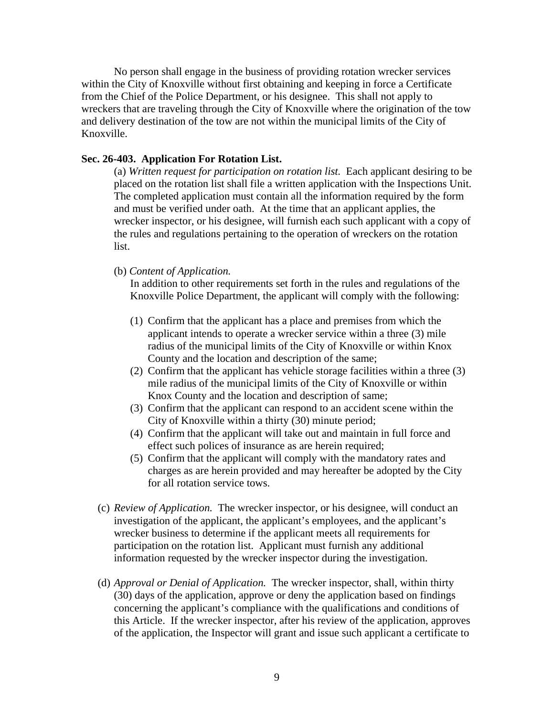No person shall engage in the business of providing rotation wrecker services within the City of Knoxville without first obtaining and keeping in force a Certificate from the Chief of the Police Department, or his designee. This shall not apply to wreckers that are traveling through the City of Knoxville where the origination of the tow and delivery destination of the tow are not within the municipal limits of the City of Knoxville.

# **Sec. 26-403. Application For Rotation List.**

(a) *Written request for participation on rotation list.* Each applicant desiring to be placed on the rotation list shall file a written application with the Inspections Unit. The completed application must contain all the information required by the form and must be verified under oath. At the time that an applicant applies, the wrecker inspector, or his designee, will furnish each such applicant with a copy of the rules and regulations pertaining to the operation of wreckers on the rotation list.

(b) *Content of Application.*

In addition to other requirements set forth in the rules and regulations of the Knoxville Police Department, the applicant will comply with the following:

- (1) Confirm that the applicant has a place and premises from which the applicant intends to operate a wrecker service within a three (3) mile radius of the municipal limits of the City of Knoxville or within Knox County and the location and description of the same;
- (2) Confirm that the applicant has vehicle storage facilities within a three (3) mile radius of the municipal limits of the City of Knoxville or within Knox County and the location and description of same;
- (3) Confirm that the applicant can respond to an accident scene within the City of Knoxville within a thirty (30) minute period;
- (4) Confirm that the applicant will take out and maintain in full force and effect such polices of insurance as are herein required;
- (5) Confirm that the applicant will comply with the mandatory rates and charges as are herein provided and may hereafter be adopted by the City for all rotation service tows.
- (c) *Review of Application.* The wrecker inspector, or his designee, will conduct an investigation of the applicant, the applicant's employees, and the applicant's wrecker business to determine if the applicant meets all requirements for participation on the rotation list. Applicant must furnish any additional information requested by the wrecker inspector during the investigation.
- (d) *Approval or Denial of Application.* The wrecker inspector, shall, within thirty (30) days of the application, approve or deny the application based on findings concerning the applicant's compliance with the qualifications and conditions of this Article. If the wrecker inspector, after his review of the application, approves of the application, the Inspector will grant and issue such applicant a certificate to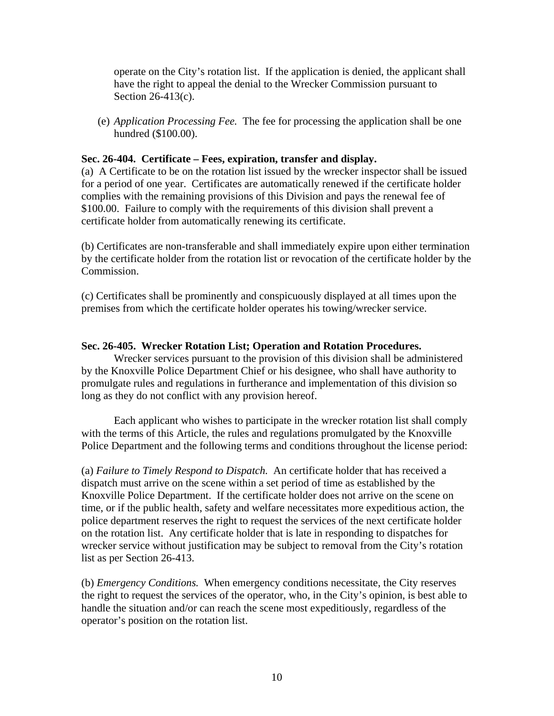operate on the City's rotation list. If the application is denied, the applicant shall have the right to appeal the denial to the Wrecker Commission pursuant to Section 26-413(c).

(e) *Application Processing Fee.* The fee for processing the application shall be one hundred (\$100.00).

## **Sec. 26-404. Certificate – Fees, expiration, transfer and display.**

(a) A Certificate to be on the rotation list issued by the wrecker inspector shall be issued for a period of one year. Certificates are automatically renewed if the certificate holder complies with the remaining provisions of this Division and pays the renewal fee of \$100.00. Failure to comply with the requirements of this division shall prevent a certificate holder from automatically renewing its certificate.

(b) Certificates are non-transferable and shall immediately expire upon either termination by the certificate holder from the rotation list or revocation of the certificate holder by the Commission.

(c) Certificates shall be prominently and conspicuously displayed at all times upon the premises from which the certificate holder operates his towing/wrecker service.

## **Sec. 26-405. Wrecker Rotation List; Operation and Rotation Procedures.**

Wrecker services pursuant to the provision of this division shall be administered by the Knoxville Police Department Chief or his designee, who shall have authority to promulgate rules and regulations in furtherance and implementation of this division so long as they do not conflict with any provision hereof.

Each applicant who wishes to participate in the wrecker rotation list shall comply with the terms of this Article, the rules and regulations promulgated by the Knoxville Police Department and the following terms and conditions throughout the license period:

(a) *Failure to Timely Respond to Dispatch.* An certificate holder that has received a dispatch must arrive on the scene within a set period of time as established by the Knoxville Police Department. If the certificate holder does not arrive on the scene on time, or if the public health, safety and welfare necessitates more expeditious action, the police department reserves the right to request the services of the next certificate holder on the rotation list. Any certificate holder that is late in responding to dispatches for wrecker service without justification may be subject to removal from the City's rotation list as per Section 26-413.

(b) *Emergency Conditions.* When emergency conditions necessitate, the City reserves the right to request the services of the operator, who, in the City's opinion, is best able to handle the situation and/or can reach the scene most expeditiously, regardless of the operator's position on the rotation list.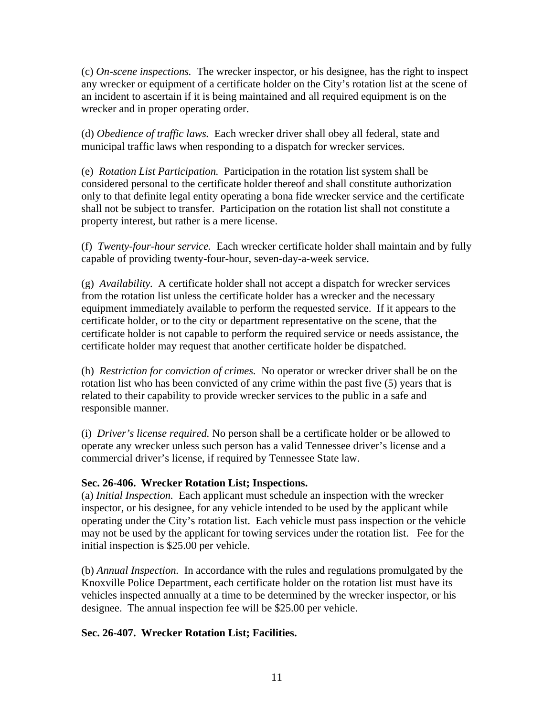(c) *On-scene inspections.* The wrecker inspector, or his designee, has the right to inspect any wrecker or equipment of a certificate holder on the City's rotation list at the scene of an incident to ascertain if it is being maintained and all required equipment is on the wrecker and in proper operating order.

(d) *Obedience of traffic laws.* Each wrecker driver shall obey all federal, state and municipal traffic laws when responding to a dispatch for wrecker services.

(e) *Rotation List Participation.* Participation in the rotation list system shall be considered personal to the certificate holder thereof and shall constitute authorization only to that definite legal entity operating a bona fide wrecker service and the certificate shall not be subject to transfer. Participation on the rotation list shall not constitute a property interest, but rather is a mere license.

(f) *Twenty-four-hour service.* Each wrecker certificate holder shall maintain and by fully capable of providing twenty-four-hour, seven-day-a-week service.

(g) *Availability.* A certificate holder shall not accept a dispatch for wrecker services from the rotation list unless the certificate holder has a wrecker and the necessary equipment immediately available to perform the requested service. If it appears to the certificate holder, or to the city or department representative on the scene, that the certificate holder is not capable to perform the required service or needs assistance, the certificate holder may request that another certificate holder be dispatched.

(h) *Restriction for conviction of crimes.* No operator or wrecker driver shall be on the rotation list who has been convicted of any crime within the past five (5) years that is related to their capability to provide wrecker services to the public in a safe and responsible manner.

(i) *Driver's license required.* No person shall be a certificate holder or be allowed to operate any wrecker unless such person has a valid Tennessee driver's license and a commercial driver's license, if required by Tennessee State law.

# **Sec. 26-406. Wrecker Rotation List; Inspections.**

(a) *Initial Inspection.* Each applicant must schedule an inspection with the wrecker inspector, or his designee, for any vehicle intended to be used by the applicant while operating under the City's rotation list. Each vehicle must pass inspection or the vehicle may not be used by the applicant for towing services under the rotation list. Fee for the initial inspection is \$25.00 per vehicle.

(b) *Annual Inspection.* In accordance with the rules and regulations promulgated by the Knoxville Police Department, each certificate holder on the rotation list must have its vehicles inspected annually at a time to be determined by the wrecker inspector, or his designee. The annual inspection fee will be \$25.00 per vehicle.

# **Sec. 26-407. Wrecker Rotation List; Facilities.**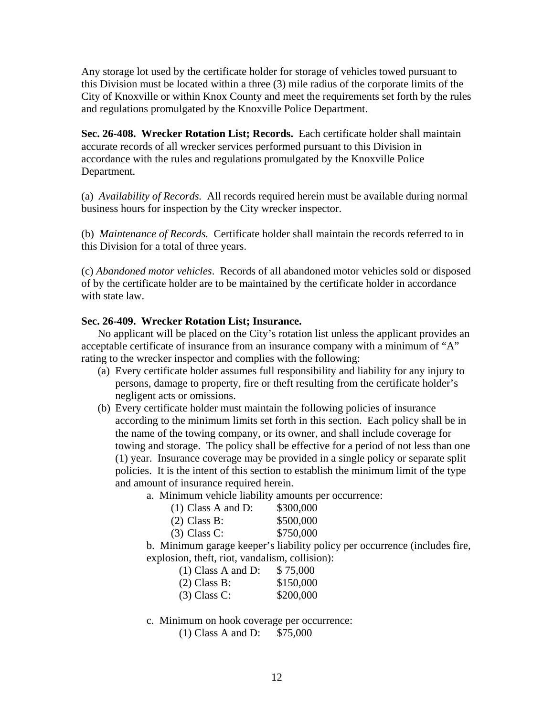Any storage lot used by the certificate holder for storage of vehicles towed pursuant to this Division must be located within a three (3) mile radius of the corporate limits of the City of Knoxville or within Knox County and meet the requirements set forth by the rules and regulations promulgated by the Knoxville Police Department.

**Sec. 26-408. Wrecker Rotation List; Records.** Each certificate holder shall maintain accurate records of all wrecker services performed pursuant to this Division in accordance with the rules and regulations promulgated by the Knoxville Police Department.

(a) *Availability of Records.* All records required herein must be available during normal business hours for inspection by the City wrecker inspector.

(b) *Maintenance of Records.* Certificate holder shall maintain the records referred to in this Division for a total of three years.

(c) *Abandoned motor vehicles*. Records of all abandoned motor vehicles sold or disposed of by the certificate holder are to be maintained by the certificate holder in accordance with state law.

## **Sec. 26-409. Wrecker Rotation List; Insurance.**

No applicant will be placed on the City's rotation list unless the applicant provides an acceptable certificate of insurance from an insurance company with a minimum of "A" rating to the wrecker inspector and complies with the following:

- (a) Every certificate holder assumes full responsibility and liability for any injury to persons, damage to property, fire or theft resulting from the certificate holder's negligent acts or omissions.
- (b) Every certificate holder must maintain the following policies of insurance according to the minimum limits set forth in this section. Each policy shall be in the name of the towing company, or its owner, and shall include coverage for towing and storage. The policy shall be effective for a period of not less than one (1) year. Insurance coverage may be provided in a single policy or separate split policies. It is the intent of this section to establish the minimum limit of the type and amount of insurance required herein.
	- a. Minimum vehicle liability amounts per occurrence:

| $(1)$ Class A and D: | \$300,000 |
|----------------------|-----------|
| $(2)$ Class B:       | \$500,000 |
| $(3)$ Class C:       | \$750,000 |

b. Minimum garage keeper's liability policy per occurrence (includes fire, explosion, theft, riot, vandalism, collision):

| $(1)$ Class A and D: | \$75,000  |
|----------------------|-----------|
| (2) Class B:         | \$150,000 |
| $(3)$ Class C:       | \$200,000 |

c. Minimum on hook coverage per occurrence:

(1) Class A and D: \$75,000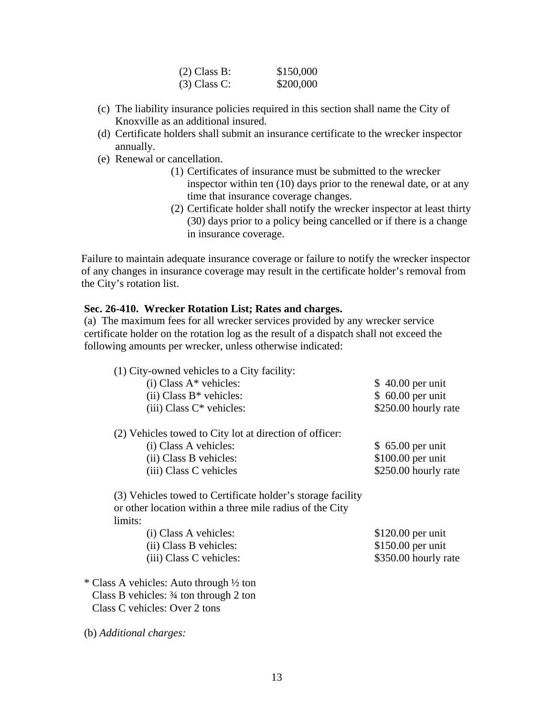| (2) Class B:   | \$150,000 |
|----------------|-----------|
| $(3)$ Class C: | \$200,000 |

- (c) The liability insurance policies required in this section shall name the City of Knoxville as an additional insured.
- (d) Certificate holders shall submit an insurance certificate to the wrecker inspector annually.
- (e) Renewal or cancellation.
	- (1) Certificates of insurance must be submitted to the wrecker inspector within ten (10) days prior to the renewal date, or at any time that insurance coverage changes.
	- (2) Certificate holder shall notify the wrecker inspector at least thirty (30) days prior to a policy being cancelled or if there is a change in insurance coverage.

Failure to maintain adequate insurance coverage or failure to notify the wrecker inspector of any changes in insurance coverage may result in the certificate holder's removal from the City's rotation list.

#### **Sec. 26-410. Wrecker Rotation List; Rates and charges.**

(a) The maximum fees for all wrecker services provided by any wrecker service certificate holder on the rotation log as the result of a dispatch shall not exceed the following amounts per wrecker, unless otherwise indicated:

| (1) City-owned vehicles to a City facility:<br>$(i) Class A* vehicles:$<br>$(ii) Class B* vehicles:$<br>$(iii) Class C* vehicles:$ | $$40.00$ per unit<br>$$60.00$ per unit<br>\$250.00 hourly rate |
|------------------------------------------------------------------------------------------------------------------------------------|----------------------------------------------------------------|
| (2) Vehicles towed to City lot at direction of officer:<br>(i) Class A vehicles:                                                   | $$65.00$ per unit                                              |
| (ii) Class B vehicles:<br>(iii) Class C vehicles                                                                                   | \$100.00 per unit<br>\$250.00 hourly rate                      |
| (3) Vehicles towed to Certificate holder's storage facility<br>or other location within a three mile radius of the City<br>limits: |                                                                |
| (i) Class A vehicles:                                                                                                              | $$120.00$ per unit                                             |
| (ii) Class B vehicles:                                                                                                             | \$150.00 per unit                                              |
| (iii) Class C vehicles:                                                                                                            | \$350.00 hourly rate                                           |
| * Class A vehicles: Auto through 1/2 ton                                                                                           |                                                                |
| Class B vehicles: $\frac{3}{4}$ ton through 2 ton                                                                                  |                                                                |
| Class C vehicles: Over 2 tons                                                                                                      |                                                                |

(b) *Additional charges:*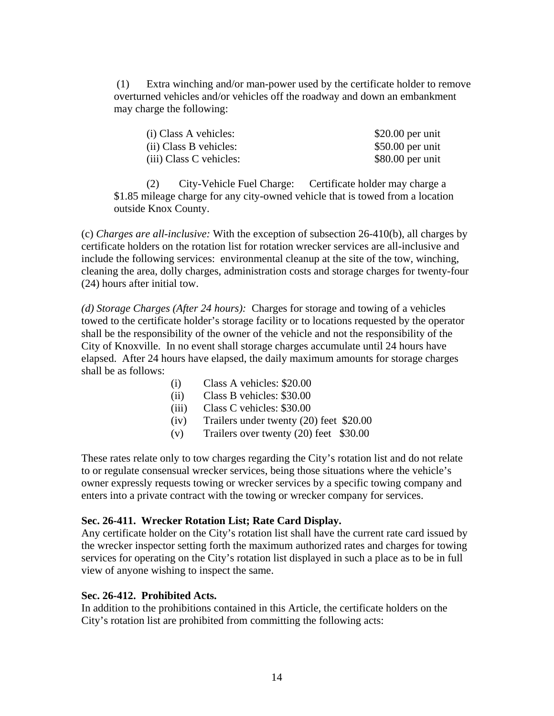(1) Extra winching and/or man-power used by the certificate holder to remove overturned vehicles and/or vehicles off the roadway and down an embankment may charge the following:

| (i) Class A vehicles:   | $$20.00$ per unit |
|-------------------------|-------------------|
| (ii) Class B vehicles:  | $$50.00$ per unit |
| (iii) Class C vehicles: | $$80.00$ per unit |

 (2) City-Vehicle Fuel Charge: Certificate holder may charge a \$1.85 mileage charge for any city-owned vehicle that is towed from a location outside Knox County.

(c) *Charges are all-inclusive:* With the exception of subsection 26-410(b), all charges by certificate holders on the rotation list for rotation wrecker services are all-inclusive and include the following services: environmental cleanup at the site of the tow, winching, cleaning the area, dolly charges, administration costs and storage charges for twenty-four (24) hours after initial tow.

*(d) Storage Charges (After 24 hours):* Charges for storage and towing of a vehicles towed to the certificate holder's storage facility or to locations requested by the operator shall be the responsibility of the owner of the vehicle and not the responsibility of the City of Knoxville. In no event shall storage charges accumulate until 24 hours have elapsed. After 24 hours have elapsed, the daily maximum amounts for storage charges shall be as follows:

- (i) Class A vehicles: \$20.00
- (ii) Class B vehicles: \$30.00
- (iii) Class C vehicles: \$30.00
- (iv) Trailers under twenty (20) feet \$20.00
- (v) Trailers over twenty (20) feet \$30.00

These rates relate only to tow charges regarding the City's rotation list and do not relate to or regulate consensual wrecker services, being those situations where the vehicle's owner expressly requests towing or wrecker services by a specific towing company and enters into a private contract with the towing or wrecker company for services.

#### **Sec. 26-411. Wrecker Rotation List; Rate Card Display.**

Any certificate holder on the City's rotation list shall have the current rate card issued by the wrecker inspector setting forth the maximum authorized rates and charges for towing services for operating on the City's rotation list displayed in such a place as to be in full view of anyone wishing to inspect the same.

#### **Sec. 26-412. Prohibited Acts.**

In addition to the prohibitions contained in this Article, the certificate holders on the City's rotation list are prohibited from committing the following acts: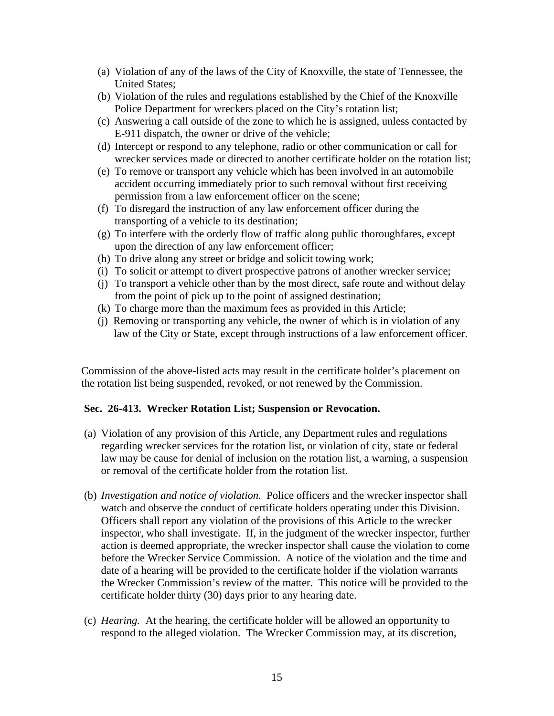- (a) Violation of any of the laws of the City of Knoxville, the state of Tennessee, the United States;
- (b) Violation of the rules and regulations established by the Chief of the Knoxville Police Department for wreckers placed on the City's rotation list;
- (c) Answering a call outside of the zone to which he is assigned, unless contacted by E-911 dispatch, the owner or drive of the vehicle;
- (d) Intercept or respond to any telephone, radio or other communication or call for wrecker services made or directed to another certificate holder on the rotation list;
- (e) To remove or transport any vehicle which has been involved in an automobile accident occurring immediately prior to such removal without first receiving permission from a law enforcement officer on the scene;
- (f) To disregard the instruction of any law enforcement officer during the transporting of a vehicle to its destination;
- (g) To interfere with the orderly flow of traffic along public thoroughfares, except upon the direction of any law enforcement officer;
- (h) To drive along any street or bridge and solicit towing work;
- (i) To solicit or attempt to divert prospective patrons of another wrecker service;
- (j) To transport a vehicle other than by the most direct, safe route and without delay from the point of pick up to the point of assigned destination;
- (k) To charge more than the maximum fees as provided in this Article;
- (j) Removing or transporting any vehicle, the owner of which is in violation of any law of the City or State, except through instructions of a law enforcement officer.

Commission of the above-listed acts may result in the certificate holder's placement on the rotation list being suspended, revoked, or not renewed by the Commission.

# **Sec. 26-413. Wrecker Rotation List; Suspension or Revocation.**

- (a) Violation of any provision of this Article, any Department rules and regulations regarding wrecker services for the rotation list, or violation of city, state or federal law may be cause for denial of inclusion on the rotation list, a warning, a suspension or removal of the certificate holder from the rotation list.
- (b) *Investigation and notice of violation.* Police officers and the wrecker inspector shall watch and observe the conduct of certificate holders operating under this Division. Officers shall report any violation of the provisions of this Article to the wrecker inspector, who shall investigate. If, in the judgment of the wrecker inspector, further action is deemed appropriate, the wrecker inspector shall cause the violation to come before the Wrecker Service Commission. A notice of the violation and the time and date of a hearing will be provided to the certificate holder if the violation warrants the Wrecker Commission's review of the matter. This notice will be provided to the certificate holder thirty (30) days prior to any hearing date.
- (c) *Hearing.* At the hearing, the certificate holder will be allowed an opportunity to respond to the alleged violation. The Wrecker Commission may, at its discretion,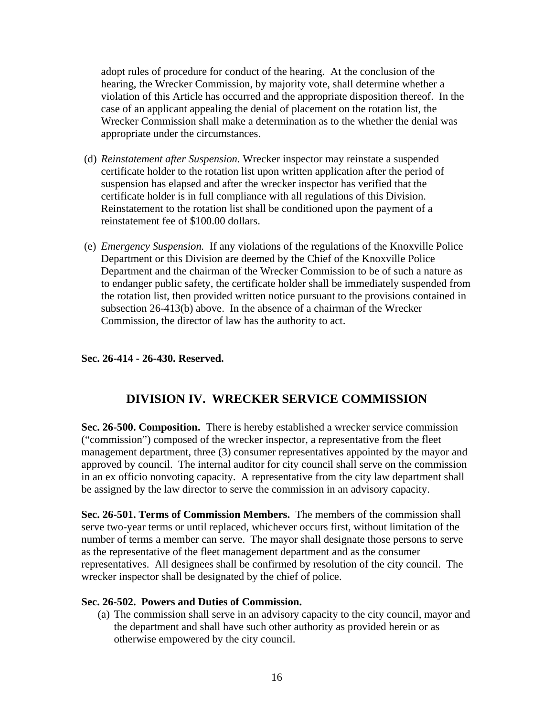adopt rules of procedure for conduct of the hearing. At the conclusion of the hearing, the Wrecker Commission, by majority vote, shall determine whether a violation of this Article has occurred and the appropriate disposition thereof. In the case of an applicant appealing the denial of placement on the rotation list, the Wrecker Commission shall make a determination as to the whether the denial was appropriate under the circumstances.

- (d) *Reinstatement after Suspension.* Wrecker inspector may reinstate a suspended certificate holder to the rotation list upon written application after the period of suspension has elapsed and after the wrecker inspector has verified that the certificate holder is in full compliance with all regulations of this Division. Reinstatement to the rotation list shall be conditioned upon the payment of a reinstatement fee of \$100.00 dollars.
- (e) *Emergency Suspension.* If any violations of the regulations of the Knoxville Police Department or this Division are deemed by the Chief of the Knoxville Police Department and the chairman of the Wrecker Commission to be of such a nature as to endanger public safety, the certificate holder shall be immediately suspended from the rotation list, then provided written notice pursuant to the provisions contained in subsection 26-413(b) above. In the absence of a chairman of the Wrecker Commission, the director of law has the authority to act.

# **Sec. 26-414 - 26-430. Reserved.**

# **DIVISION IV. WRECKER SERVICE COMMISSION**

**Sec. 26-500. Composition.** There is hereby established a wrecker service commission ("commission") composed of the wrecker inspector, a representative from the fleet management department, three (3) consumer representatives appointed by the mayor and approved by council. The internal auditor for city council shall serve on the commission in an ex officio nonvoting capacity. A representative from the city law department shall be assigned by the law director to serve the commission in an advisory capacity.

**Sec. 26-501. Terms of Commission Members.** The members of the commission shall serve two-year terms or until replaced, whichever occurs first, without limitation of the number of terms a member can serve. The mayor shall designate those persons to serve as the representative of the fleet management department and as the consumer representatives. All designees shall be confirmed by resolution of the city council. The wrecker inspector shall be designated by the chief of police.

#### **Sec. 26-502. Powers and Duties of Commission.**

(a) The commission shall serve in an advisory capacity to the city council, mayor and the department and shall have such other authority as provided herein or as otherwise empowered by the city council.